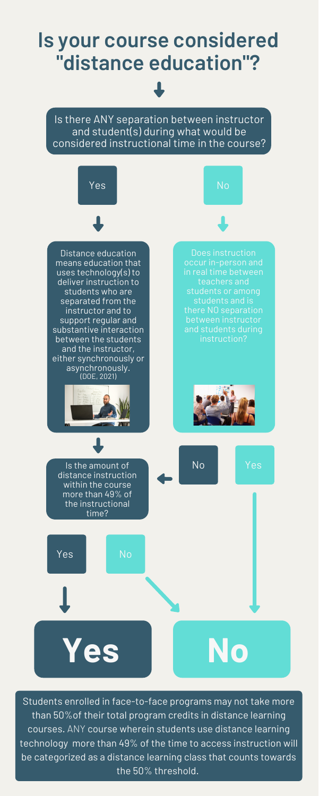Students enrolled in face-to-face programs may not take more than 50%of their total program credits in distance learning courses. ANY course wherein students use distance learning technology more than 49% of the time to access instruction will be categorized as a distance learning class that counts towards the 50% threshold.

# **Is your course considered "distance education"?**

Is there ANY separation between instructor and student(s) during what would be considered instructional time in the course?

Distance education means education that uses technology(s) to deliver instruction to students who are separated from the instructor and to support regular and substantive interaction between the students and the instructor, either synchronously or asynchronously. (DOE, 2021)



Yes

Yes

No



Does instruction occur in-person and in real time between teachers and students or among students and is there NO separation between instructor and students during instruction?





Is the amount of distance instruction